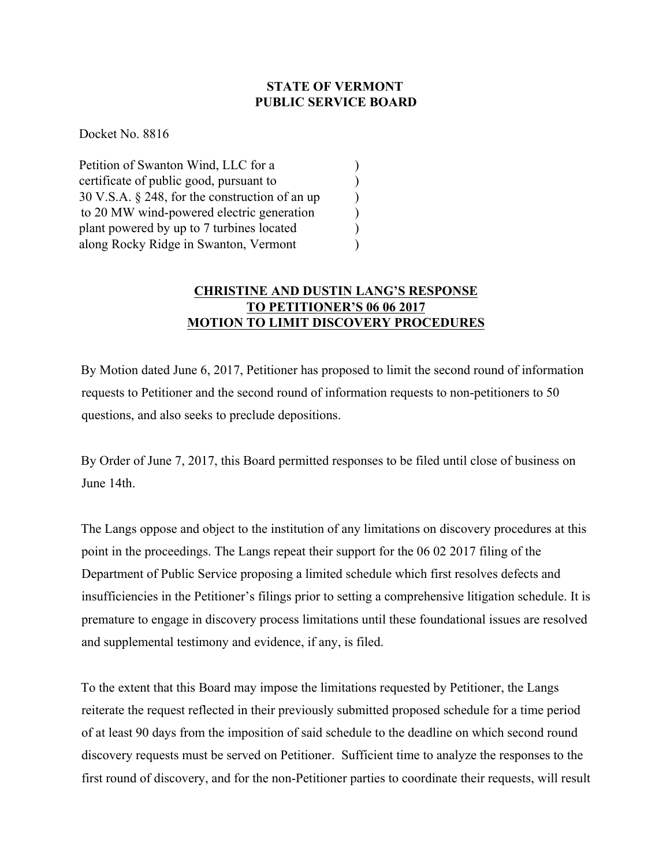## **STATE OF VERMONT PUBLIC SERVICE BOARD**

Docket No. 8816

Petition of Swanton Wind, LLC for a ) certificate of public good, pursuant to )  $30 \text{ V.S.A.}$  § 248, for the construction of an up  $\qquad\qquad$  ) to 20 MW wind-powered electric generation  $\qquad\qquad$  ) plant powered by up to 7 turbines located  $\qquad \qquad$  ) along Rocky Ridge in Swanton, Vermont )

## **CHRISTINE AND DUSTIN LANG'S RESPONSE TO PETITIONER'S 06 06 2017 MOTION TO LIMIT DISCOVERY PROCEDURES**

By Motion dated June 6, 2017, Petitioner has proposed to limit the second round of information requests to Petitioner and the second round of information requests to non-petitioners to 50 questions, and also seeks to preclude depositions.

By Order of June 7, 2017, this Board permitted responses to be filed until close of business on June 14th.

The Langs oppose and object to the institution of any limitations on discovery procedures at this point in the proceedings. The Langs repeat their support for the 06 02 2017 filing of the Department of Public Service proposing a limited schedule which first resolves defects and insufficiencies in the Petitioner's filings prior to setting a comprehensive litigation schedule. It is premature to engage in discovery process limitations until these foundational issues are resolved and supplemental testimony and evidence, if any, is filed.

To the extent that this Board may impose the limitations requested by Petitioner, the Langs reiterate the request reflected in their previously submitted proposed schedule for a time period of at least 90 days from the imposition of said schedule to the deadline on which second round discovery requests must be served on Petitioner. Sufficient time to analyze the responses to the first round of discovery, and for the non-Petitioner parties to coordinate their requests, will result